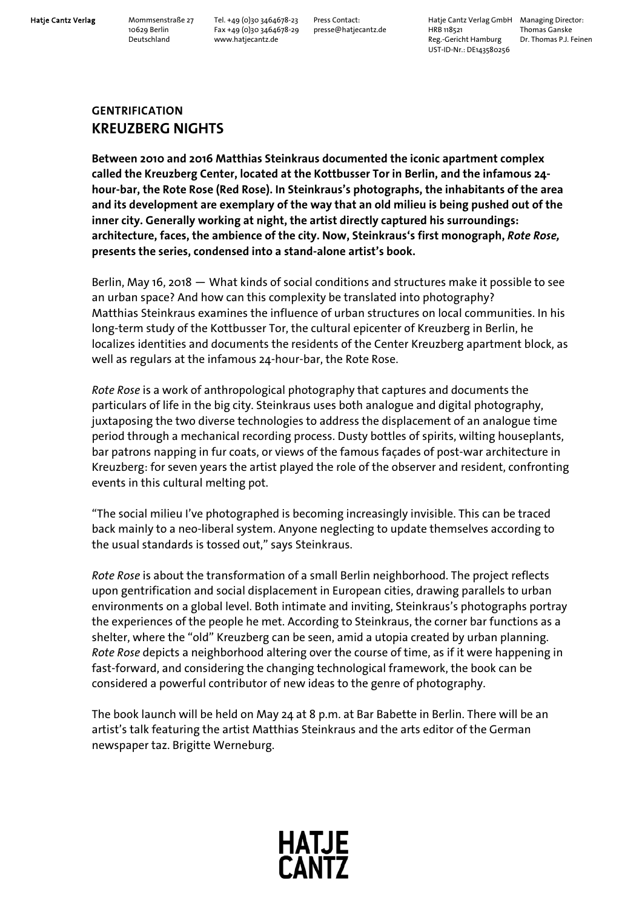**Hatje Cantz Verlag** Mommsenstraße 27 Tel. +49 (0)30 3464678-23 Press Contact: Hatje Cantz Verlag GmbH Managing Director: 10629 Berlin Fax +49 (0)30 3464678-29 presse@hatjecantz.de HRB 118521 Thomas Ganske Deutschland www.hatjecantz.de Reg.-Gericht Hamburg Dr. Thomas P.J. Feinen UST-ID-Nr.: DE143580256

## **GENTRIFICATION KREUZBERG NIGHTS**

**Between 2010 and 2016 Matthias Steinkraus documented the iconic apartment complex called the Kreuzberg Center, located at the Kottbusser Tor in Berlin, and the infamous 24 hour-bar, the Rote Rose (Red Rose). In Steinkraus's photographs, the inhabitants of the area and its development are exemplary of the way that an old milieu is being pushed out of the inner city. Generally working at night, the artist directly captured his surroundings: architecture, faces, the ambience of the city. Now, Steinkraus's first monograph,** *Rote Rose,* **presents the series, condensed into a stand-alone artist's book.** 

Berlin, May 16, 2018 ― What kinds of social conditions and structures make it possible to see an urban space? And how can this complexity be translated into photography? Matthias Steinkraus examines the influence of urban structures on local communities. In his long-term study of the Kottbusser Tor, the cultural epicenter of Kreuzberg in Berlin, he localizes identities and documents the residents of the Center Kreuzberg apartment block, as well as regulars at the infamous 24-hour-bar, the Rote Rose.

*Rote Rose* is a work of anthropological photography that captures and documents the particulars of life in the big city. Steinkraus uses both analogue and digital photography, juxtaposing the two diverse technologies to address the displacement of an analogue time period through a mechanical recording process. Dusty bottles of spirits, wilting houseplants, bar patrons napping in fur coats, or views of the famous façades of post-war architecture in Kreuzberg: for seven years the artist played the role of the observer and resident, confronting events in this cultural melting pot.

"The social milieu I've photographed is becoming increasingly invisible. This can be traced back mainly to a neo-liberal system. Anyone neglecting to update themselves according to the usual standards is tossed out," says Steinkraus.

*Rote Rose* is about the transformation of a small Berlin neighborhood. The project reflects upon gentrification and social displacement in European cities, drawing parallels to urban environments on a global level. Both intimate and inviting, Steinkraus's photographs portray the experiences of the people he met. According to Steinkraus, the corner bar functions as a shelter, where the "old" Kreuzberg can be seen, amid a utopia created by urban planning. *Rote Rose* depicts a neighborhood altering over the course of time, as if it were happening in fast-forward, and considering the changing technological framework, the book can be considered a powerful contributor of new ideas to the genre of photography.

The book launch will be held on May 24 at 8 p.m. at Bar Babette in Berlin. There will be an artist's talk featuring the artist Matthias Steinkraus and the arts editor of the German newspaper taz. Brigitte Werneburg.